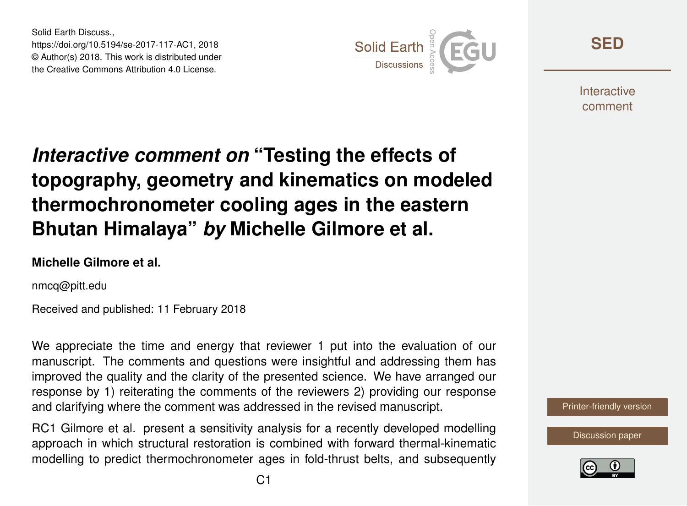Solid Earth Discuss., https://doi.org/10.5194/se-2017-117-AC1, 2018 © Author(s) 2018. This work is distributed under the Creative Commons Attribution 4.0 License.



**[SED](https://www.solid-earth-discuss.net/)**

**Interactive** comment

# *Interactive comment on* **"Testing the effects of topography, geometry and kinematics on modeled thermochronometer cooling ages in the eastern Bhutan Himalaya"** *by* **Michelle Gilmore et al.**

#### **Michelle Gilmore et al.**

nmcq@pitt.edu

Received and published: 11 February 2018

We appreciate the time and energy that reviewer 1 put into the evaluation of our manuscript. The comments and questions were insightful and addressing them has improved the quality and the clarity of the presented science. We have arranged our response by 1) reiterating the comments of the reviewers 2) providing our response and clarifying where the comment was addressed in the revised manuscript.

RC1 Gilmore et al. present a sensitivity analysis for a recently developed modelling approach in which structural restoration is combined with forward thermal-kinematic modelling to predict thermochronometer ages in fold-thrust belts, and subsequently [Printer-friendly version](https://www.solid-earth-discuss.net/se-2017-117/se-2017-117-AC1-print.pdf)

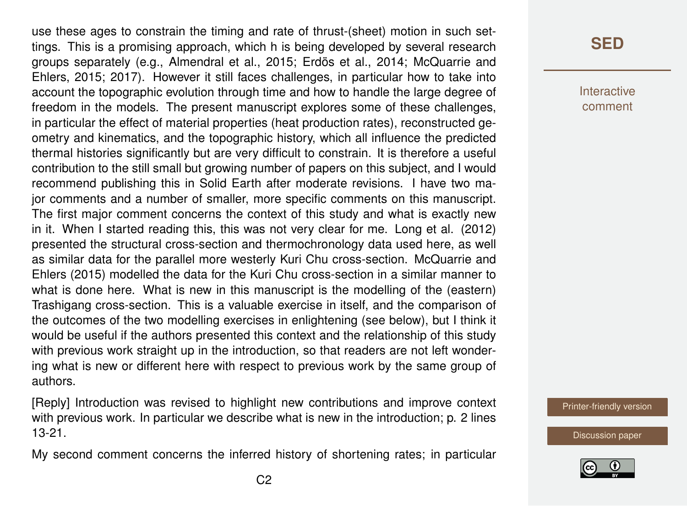use these ages to constrain the timing and rate of thrust-(sheet) motion in such settings. This is a promising approach, which h is being developed by several research groups separately (e.g., Almendral et al., 2015; Erdös et al., 2014; McQuarrie and Ehlers, 2015; 2017). However it still faces challenges, in particular how to take into account the topographic evolution through time and how to handle the large degree of freedom in the models. The present manuscript explores some of these challenges, in particular the effect of material properties (heat production rates), reconstructed geometry and kinematics, and the topographic history, which all influence the predicted thermal histories significantly but are very difficult to constrain. It is therefore a useful contribution to the still small but growing number of papers on this subject, and I would recommend publishing this in Solid Earth after moderate revisions. I have two major comments and a number of smaller, more specific comments on this manuscript. The first major comment concerns the context of this study and what is exactly new in it. When I started reading this, this was not very clear for me. Long et al. (2012) presented the structural cross-section and thermochronology data used here, as well as similar data for the parallel more westerly Kuri Chu cross-section. McQuarrie and Ehlers (2015) modelled the data for the Kuri Chu cross-section in a similar manner to what is done here. What is new in this manuscript is the modelling of the (eastern) Trashigang cross-section. This is a valuable exercise in itself, and the comparison of the outcomes of the two modelling exercises in enlightening (see below), but I think it would be useful if the authors presented this context and the relationship of this study with previous work straight up in the introduction, so that readers are not left wondering what is new or different here with respect to previous work by the same group of authors.

[Reply] Introduction was revised to highlight new contributions and improve context with previous work. In particular we describe what is new in the introduction; p. 2 lines 13-21.

My second comment concerns the inferred history of shortening rates; in particular

### **[SED](https://www.solid-earth-discuss.net/)**

**Interactive** comment

[Printer-friendly version](https://www.solid-earth-discuss.net/se-2017-117/se-2017-117-AC1-print.pdf)

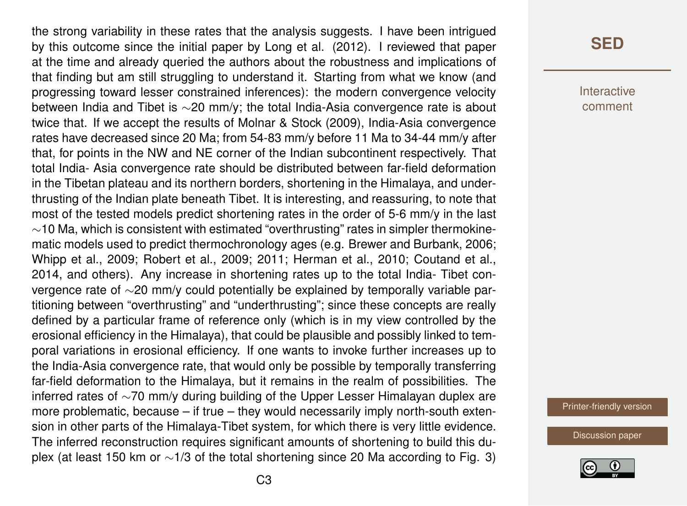the strong variability in these rates that the analysis suggests. I have been intrigued by this outcome since the initial paper by Long et al. (2012). I reviewed that paper at the time and already queried the authors about the robustness and implications of that finding but am still struggling to understand it. Starting from what we know (and progressing toward lesser constrained inferences): the modern convergence velocity between India and Tibet is ∼20 mm/y; the total India-Asia convergence rate is about twice that. If we accept the results of Molnar & Stock (2009), India-Asia convergence rates have decreased since 20 Ma; from 54-83 mm/y before 11 Ma to 34-44 mm/y after that, for points in the NW and NE corner of the Indian subcontinent respectively. That total India- Asia convergence rate should be distributed between far-field deformation in the Tibetan plateau and its northern borders, shortening in the Himalaya, and underthrusting of the Indian plate beneath Tibet. It is interesting, and reassuring, to note that most of the tested models predict shortening rates in the order of 5-6 mm/y in the last ∼10 Ma, which is consistent with estimated "overthrusting" rates in simpler thermokinematic models used to predict thermochronology ages (e.g. Brewer and Burbank, 2006; Whipp et al., 2009; Robert et al., 2009; 2011; Herman et al., 2010; Coutand et al., 2014, and others). Any increase in shortening rates up to the total India- Tibet convergence rate of ∼20 mm/y could potentially be explained by temporally variable partitioning between "overthrusting" and "underthrusting"; since these concepts are really defined by a particular frame of reference only (which is in my view controlled by the erosional efficiency in the Himalaya), that could be plausible and possibly linked to temporal variations in erosional efficiency. If one wants to invoke further increases up to the India-Asia convergence rate, that would only be possible by temporally transferring far-field deformation to the Himalaya, but it remains in the realm of possibilities. The inferred rates of ∼70 mm/y during building of the Upper Lesser Himalayan duplex are more problematic, because – if true – they would necessarily imply north-south extension in other parts of the Himalaya-Tibet system, for which there is very little evidence. The inferred reconstruction requires significant amounts of shortening to build this duplex (at least 150 km or ∼1/3 of the total shortening since 20 Ma according to Fig. 3)

### **[SED](https://www.solid-earth-discuss.net/)**

**Interactive** comment

[Printer-friendly version](https://www.solid-earth-discuss.net/se-2017-117/se-2017-117-AC1-print.pdf)

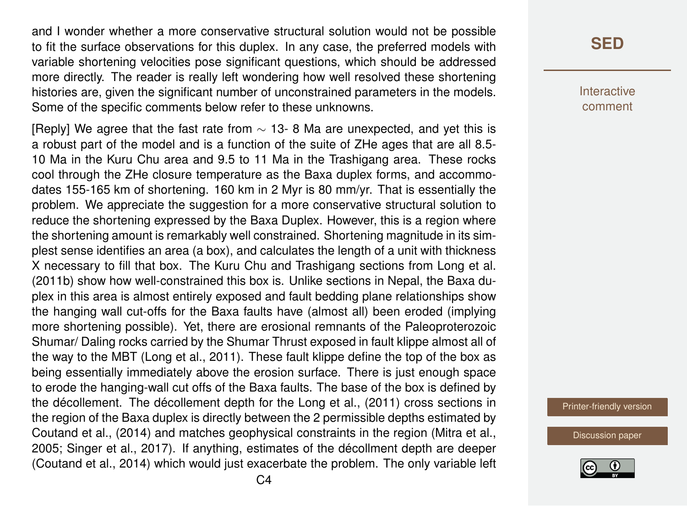and I wonder whether a more conservative structural solution would not be possible to fit the surface observations for this duplex. In any case, the preferred models with variable shortening velocities pose significant questions, which should be addressed more directly. The reader is really left wondering how well resolved these shortening histories are, given the significant number of unconstrained parameters in the models. Some of the specific comments below refer to these unknowns.

[Reply] We agree that the fast rate from  $\sim$  13- 8 Ma are unexpected, and yet this is a robust part of the model and is a function of the suite of ZHe ages that are all 8.5- 10 Ma in the Kuru Chu area and 9.5 to 11 Ma in the Trashigang area. These rocks cool through the ZHe closure temperature as the Baxa duplex forms, and accommodates 155-165 km of shortening. 160 km in 2 Myr is 80 mm/yr. That is essentially the problem. We appreciate the suggestion for a more conservative structural solution to reduce the shortening expressed by the Baxa Duplex. However, this is a region where the shortening amount is remarkably well constrained. Shortening magnitude in its simplest sense identifies an area (a box), and calculates the length of a unit with thickness X necessary to fill that box. The Kuru Chu and Trashigang sections from Long et al. (2011b) show how well-constrained this box is. Unlike sections in Nepal, the Baxa duplex in this area is almost entirely exposed and fault bedding plane relationships show the hanging wall cut-offs for the Baxa faults have (almost all) been eroded (implying more shortening possible). Yet, there are erosional remnants of the Paleoproterozoic Shumar/ Daling rocks carried by the Shumar Thrust exposed in fault klippe almost all of the way to the MBT (Long et al., 2011). These fault klippe define the top of the box as being essentially immediately above the erosion surface. There is just enough space to erode the hanging-wall cut offs of the Baxa faults. The base of the box is defined by the décollement. The décollement depth for the Long et al., (2011) cross sections in the region of the Baxa duplex is directly between the 2 permissible depths estimated by Coutand et al., (2014) and matches geophysical constraints in the region (Mitra et al., 2005; Singer et al., 2017). If anything, estimates of the décollment depth are deeper (Coutand et al., 2014) which would just exacerbate the problem. The only variable left

### **[SED](https://www.solid-earth-discuss.net/)**

**Interactive** comment

[Printer-friendly version](https://www.solid-earth-discuss.net/se-2017-117/se-2017-117-AC1-print.pdf)

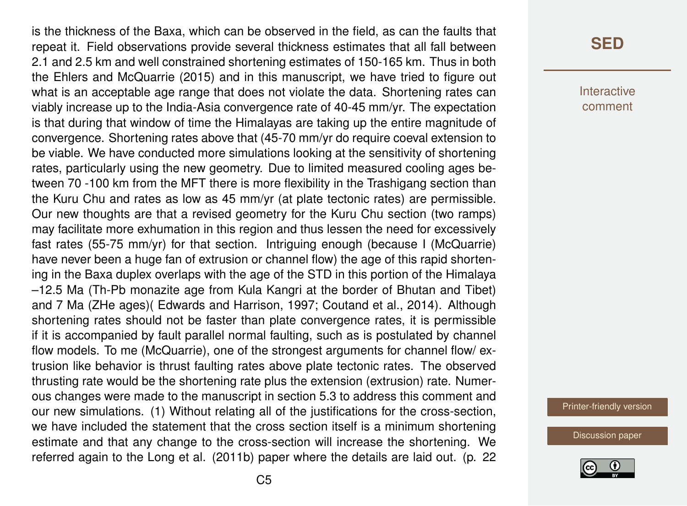is the thickness of the Baxa, which can be observed in the field, as can the faults that repeat it. Field observations provide several thickness estimates that all fall between 2.1 and 2.5 km and well constrained shortening estimates of 150-165 km. Thus in both the Ehlers and McQuarrie (2015) and in this manuscript, we have tried to figure out what is an acceptable age range that does not violate the data. Shortening rates can viably increase up to the India-Asia convergence rate of 40-45 mm/yr. The expectation is that during that window of time the Himalayas are taking up the entire magnitude of convergence. Shortening rates above that (45-70 mm/yr do require coeval extension to be viable. We have conducted more simulations looking at the sensitivity of shortening rates, particularly using the new geometry. Due to limited measured cooling ages between 70 -100 km from the MFT there is more flexibility in the Trashigang section than the Kuru Chu and rates as low as 45 mm/yr (at plate tectonic rates) are permissible. Our new thoughts are that a revised geometry for the Kuru Chu section (two ramps) may facilitate more exhumation in this region and thus lessen the need for excessively fast rates (55-75 mm/yr) for that section. Intriguing enough (because I (McQuarrie) have never been a huge fan of extrusion or channel flow) the age of this rapid shortening in the Baxa duplex overlaps with the age of the STD in this portion of the Himalaya –12.5 Ma (Th-Pb monazite age from Kula Kangri at the border of Bhutan and Tibet) and 7 Ma (ZHe ages)( Edwards and Harrison, 1997; Coutand et al., 2014). Although shortening rates should not be faster than plate convergence rates, it is permissible if it is accompanied by fault parallel normal faulting, such as is postulated by channel flow models. To me (McQuarrie), one of the strongest arguments for channel flow/ extrusion like behavior is thrust faulting rates above plate tectonic rates. The observed thrusting rate would be the shortening rate plus the extension (extrusion) rate. Numerous changes were made to the manuscript in section 5.3 to address this comment and our new simulations. (1) Without relating all of the justifications for the cross-section, we have included the statement that the cross section itself is a minimum shortening estimate and that any change to the cross-section will increase the shortening. We referred again to the Long et al. (2011b) paper where the details are laid out. (p. 22

### **[SED](https://www.solid-earth-discuss.net/)**

**Interactive** comment

[Printer-friendly version](https://www.solid-earth-discuss.net/se-2017-117/se-2017-117-AC1-print.pdf)

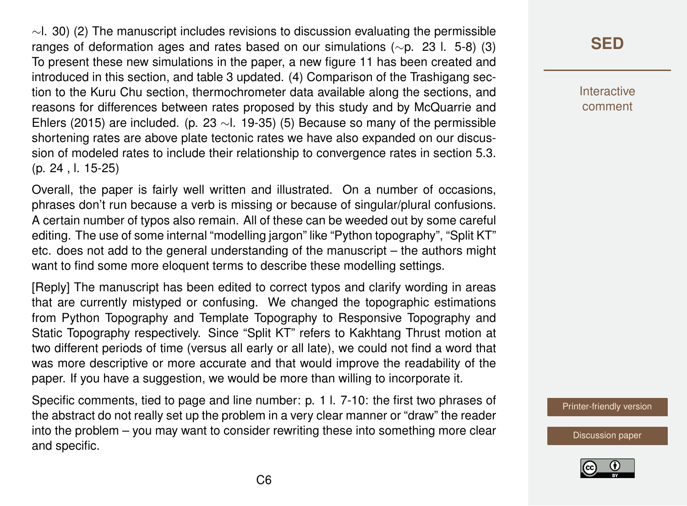$\sim$ l. 30) (2) The manuscript includes revisions to discussion evaluating the permissible ranges of deformation ages and rates based on our simulations (∼p. 23 l. 5-8) (3) To present these new simulations in the paper, a new figure 11 has been created and introduced in this section, and table 3 updated. (4) Comparison of the Trashigang section to the Kuru Chu section, thermochrometer data available along the sections, and reasons for differences between rates proposed by this study and by McQuarrie and Ehlers (2015) are included. (p. 23 ∼l. 19-35) (5) Because so many of the permissible shortening rates are above plate tectonic rates we have also expanded on our discussion of modeled rates to include their relationship to convergence rates in section 5.3. (p. 24 , l. 15-25)

Overall, the paper is fairly well written and illustrated. On a number of occasions, phrases don't run because a verb is missing or because of singular/plural confusions. A certain number of typos also remain. All of these can be weeded out by some careful editing. The use of some internal "modelling jargon" like "Python topography", "Split KT" etc. does not add to the general understanding of the manuscript – the authors might want to find some more eloquent terms to describe these modelling settings.

[Reply] The manuscript has been edited to correct typos and clarify wording in areas that are currently mistyped or confusing. We changed the topographic estimations from Python Topography and Template Topography to Responsive Topography and Static Topography respectively. Since "Split KT" refers to Kakhtang Thrust motion at two different periods of time (versus all early or all late), we could not find a word that was more descriptive or more accurate and that would improve the readability of the paper. If you have a suggestion, we would be more than willing to incorporate it.

Specific comments, tied to page and line number: p. 1 l. 7-10: the first two phrases of the abstract do not really set up the problem in a very clear manner or "draw" the reader into the problem – you may want to consider rewriting these into something more clear and specific.

# **[SED](https://www.solid-earth-discuss.net/)**

Interactive comment

[Printer-friendly version](https://www.solid-earth-discuss.net/se-2017-117/se-2017-117-AC1-print.pdf)

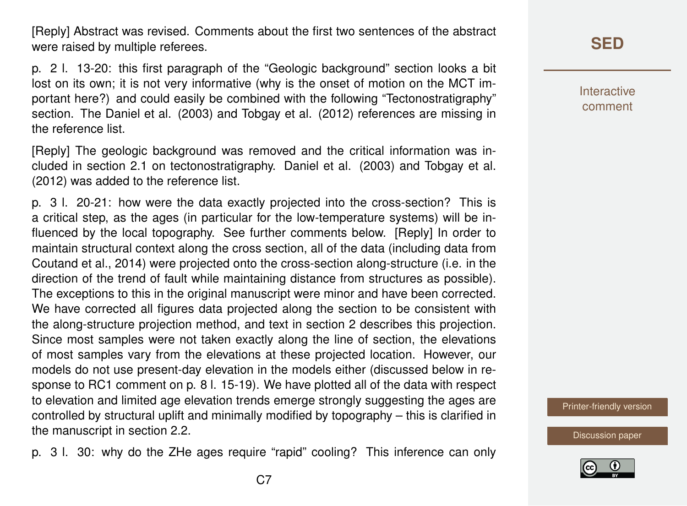[Reply] Abstract was revised. Comments about the first two sentences of the abstract were raised by multiple referees.

p. 2 l. 13-20: this first paragraph of the "Geologic background" section looks a bit lost on its own; it is not very informative (why is the onset of motion on the MCT important here?) and could easily be combined with the following "Tectonostratigraphy" section. The Daniel et al. (2003) and Tobgay et al. (2012) references are missing in the reference list.

[Reply] The geologic background was removed and the critical information was included in section 2.1 on tectonostratigraphy. Daniel et al. (2003) and Tobgay et al. (2012) was added to the reference list.

p. 3 l. 20-21: how were the data exactly projected into the cross-section? This is a critical step, as the ages (in particular for the low-temperature systems) will be influenced by the local topography. See further comments below. [Reply] In order to maintain structural context along the cross section, all of the data (including data from Coutand et al., 2014) were projected onto the cross-section along-structure (i.e. in the direction of the trend of fault while maintaining distance from structures as possible). The exceptions to this in the original manuscript were minor and have been corrected. We have corrected all figures data projected along the section to be consistent with the along-structure projection method, and text in section 2 describes this projection. Since most samples were not taken exactly along the line of section, the elevations of most samples vary from the elevations at these projected location. However, our models do not use present-day elevation in the models either (discussed below in response to RC1 comment on p. 8 l. 15-19). We have plotted all of the data with respect to elevation and limited age elevation trends emerge strongly suggesting the ages are controlled by structural uplift and minimally modified by topography – this is clarified in the manuscript in section 2.2.

p. 3 l. 30: why do the ZHe ages require "rapid" cooling? This inference can only

# **[SED](https://www.solid-earth-discuss.net/)**

Interactive comment

[Printer-friendly version](https://www.solid-earth-discuss.net/se-2017-117/se-2017-117-AC1-print.pdf)

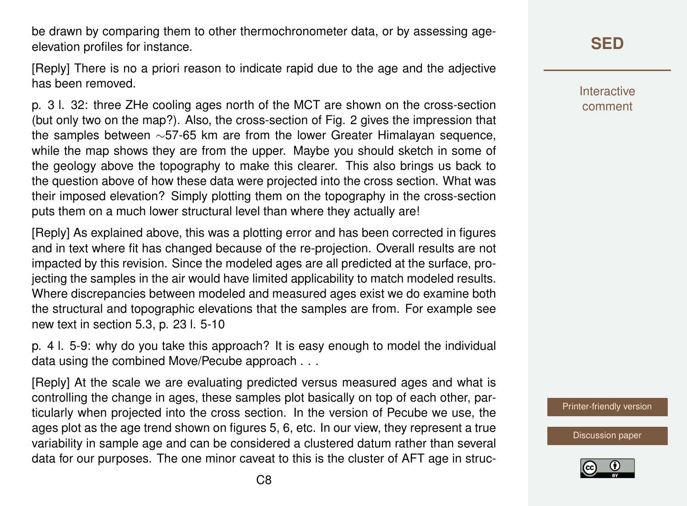be drawn by comparing them to other thermochronometer data, or by assessing ageelevation profiles for instance.

[Reply] There is no a priori reason to indicate rapid due to the age and the adjective has been removed.

p. 3 l. 32: three ZHe cooling ages north of the MCT are shown on the cross-section (but only two on the map?). Also, the cross-section of Fig. 2 gives the impression that the samples between ∼57-65 km are from the lower Greater Himalayan sequence, while the map shows they are from the upper. Maybe you should sketch in some of the geology above the topography to make this clearer. This also brings us back to the question above of how these data were projected into the cross section. What was their imposed elevation? Simply plotting them on the topography in the cross-section puts them on a much lower structural level than where they actually are!

[Reply] As explained above, this was a plotting error and has been corrected in figures and in text where fit has changed because of the re-projection. Overall results are not impacted by this revision. Since the modeled ages are all predicted at the surface, projecting the samples in the air would have limited applicability to match modeled results. Where discrepancies between modeled and measured ages exist we do examine both the structural and topographic elevations that the samples are from. For example see new text in section 5.3, p. 23 l. 5-10

p. 4 l. 5-9: why do you take this approach? It is easy enough to model the individual data using the combined Move/Pecube approach . . .

[Reply] At the scale we are evaluating predicted versus measured ages and what is controlling the change in ages, these samples plot basically on top of each other, particularly when projected into the cross section. In the version of Pecube we use, the ages plot as the age trend shown on figures 5, 6, etc. In our view, they represent a true variability in sample age and can be considered a clustered datum rather than several data for our purposes. The one minor caveat to this is the cluster of AFT age in struc-

# **[SED](https://www.solid-earth-discuss.net/)**

**Interactive** comment

[Printer-friendly version](https://www.solid-earth-discuss.net/se-2017-117/se-2017-117-AC1-print.pdf)

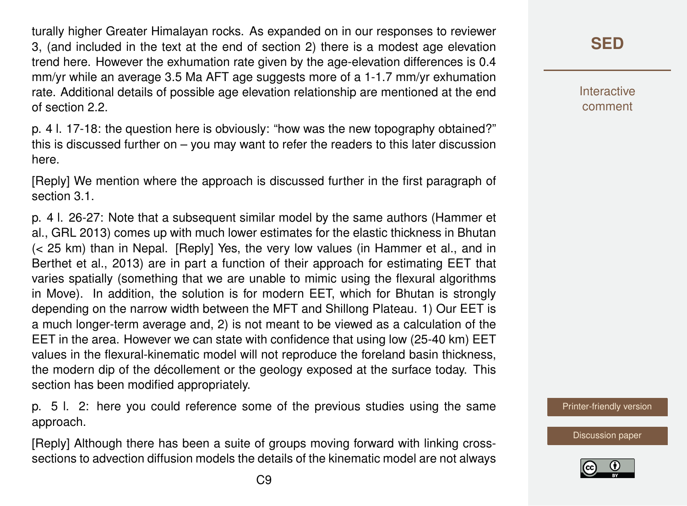turally higher Greater Himalayan rocks. As expanded on in our responses to reviewer 3, (and included in the text at the end of section 2) there is a modest age elevation trend here. However the exhumation rate given by the age-elevation differences is 0.4 mm/yr while an average 3.5 Ma AFT age suggests more of a 1-1.7 mm/yr exhumation rate. Additional details of possible age elevation relationship are mentioned at the end of section 2.2.

p. 4 l. 17-18: the question here is obviously: "how was the new topography obtained?" this is discussed further on – you may want to refer the readers to this later discussion here.

[Reply] We mention where the approach is discussed further in the first paragraph of section 3.1.

p. 4 l. 26-27: Note that a subsequent similar model by the same authors (Hammer et al., GRL 2013) comes up with much lower estimates for the elastic thickness in Bhutan (< 25 km) than in Nepal. [Reply] Yes, the very low values (in Hammer et al., and in Berthet et al., 2013) are in part a function of their approach for estimating EET that varies spatially (something that we are unable to mimic using the flexural algorithms in Move). In addition, the solution is for modern EET, which for Bhutan is strongly depending on the narrow width between the MFT and Shillong Plateau. 1) Our EET is a much longer-term average and, 2) is not meant to be viewed as a calculation of the EET in the area. However we can state with confidence that using low (25-40 km) EET values in the flexural-kinematic model will not reproduce the foreland basin thickness, the modern dip of the décollement or the geology exposed at the surface today. This section has been modified appropriately.

p. 5 l. 2: here you could reference some of the previous studies using the same approach.

[Reply] Although there has been a suite of groups moving forward with linking crosssections to advection diffusion models the details of the kinematic model are not always **Interactive** comment

[Printer-friendly version](https://www.solid-earth-discuss.net/se-2017-117/se-2017-117-AC1-print.pdf)

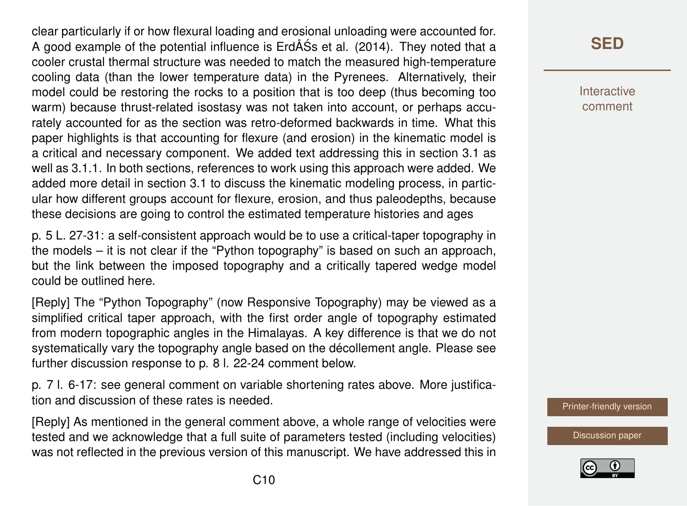clear particularly if or how flexural loading and erosional unloading were accounted for. A good example of the potential influence is ErdÅSs et al. (2014). They noted that a ´ cooler crustal thermal structure was needed to match the measured high-temperature cooling data (than the lower temperature data) in the Pyrenees. Alternatively, their model could be restoring the rocks to a position that is too deep (thus becoming too warm) because thrust-related isostasy was not taken into account, or perhaps accurately accounted for as the section was retro-deformed backwards in time. What this paper highlights is that accounting for flexure (and erosion) in the kinematic model is a critical and necessary component. We added text addressing this in section 3.1 as well as 3.1.1. In both sections, references to work using this approach were added. We added more detail in section 3.1 to discuss the kinematic modeling process, in particular how different groups account for flexure, erosion, and thus paleodepths, because these decisions are going to control the estimated temperature histories and ages

p. 5 L. 27-31: a self-consistent approach would be to use a critical-taper topography in the models – it is not clear if the "Python topography" is based on such an approach, but the link between the imposed topography and a critically tapered wedge model could be outlined here.

[Reply] The "Python Topography" (now Responsive Topography) may be viewed as a simplified critical taper approach, with the first order angle of topography estimated from modern topographic angles in the Himalayas. A key difference is that we do not systematically vary the topography angle based on the décollement angle. Please see further discussion response to p. 8 l. 22-24 comment below.

p. 7 l. 6-17: see general comment on variable shortening rates above. More justification and discussion of these rates is needed.

[Reply] As mentioned in the general comment above, a whole range of velocities were tested and we acknowledge that a full suite of parameters tested (including velocities) was not reflected in the previous version of this manuscript. We have addressed this in

# **[SED](https://www.solid-earth-discuss.net/)**

Interactive comment

[Printer-friendly version](https://www.solid-earth-discuss.net/se-2017-117/se-2017-117-AC1-print.pdf)

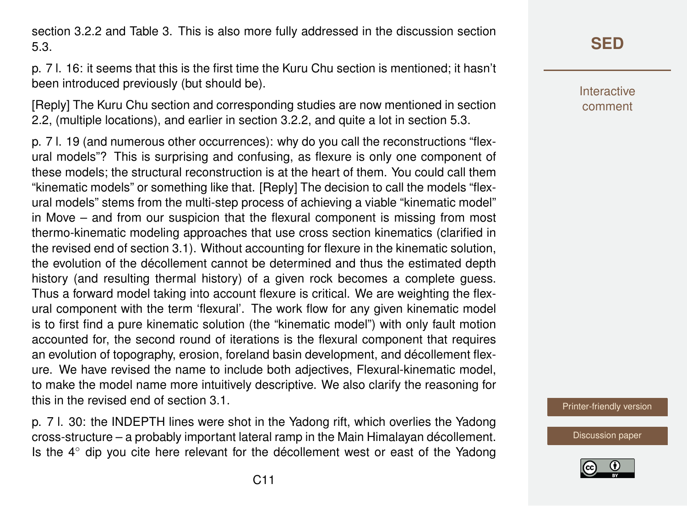section 3.2.2 and Table 3. This is also more fully addressed in the discussion section 5.3.

p. 7 l. 16: it seems that this is the first time the Kuru Chu section is mentioned; it hasn't been introduced previously (but should be).

[Reply] The Kuru Chu section and corresponding studies are now mentioned in section 2.2, (multiple locations), and earlier in section 3.2.2, and quite a lot in section 5.3.

p. 7 l. 19 (and numerous other occurrences): why do you call the reconstructions "flexural models"? This is surprising and confusing, as flexure is only one component of these models; the structural reconstruction is at the heart of them. You could call them "kinematic models" or something like that. [Reply] The decision to call the models "flexural models" stems from the multi-step process of achieving a viable "kinematic model" in Move – and from our suspicion that the flexural component is missing from most thermo-kinematic modeling approaches that use cross section kinematics (clarified in the revised end of section 3.1). Without accounting for flexure in the kinematic solution, the evolution of the décollement cannot be determined and thus the estimated depth history (and resulting thermal history) of a given rock becomes a complete guess. Thus a forward model taking into account flexure is critical. We are weighting the flexural component with the term 'flexural'. The work flow for any given kinematic model is to first find a pure kinematic solution (the "kinematic model") with only fault motion accounted for, the second round of iterations is the flexural component that requires an evolution of topography, erosion, foreland basin development, and décollement flexure. We have revised the name to include both adjectives, Flexural-kinematic model, to make the model name more intuitively descriptive. We also clarify the reasoning for this in the revised end of section 3.1.

p. 7 l. 30: the INDEPTH lines were shot in the Yadong rift, which overlies the Yadong cross-structure – a probably important lateral ramp in the Main Himalayan décollement. Is the 4◦ dip you cite here relevant for the décollement west or east of the Yadong **Interactive** comment

[Printer-friendly version](https://www.solid-earth-discuss.net/se-2017-117/se-2017-117-AC1-print.pdf)

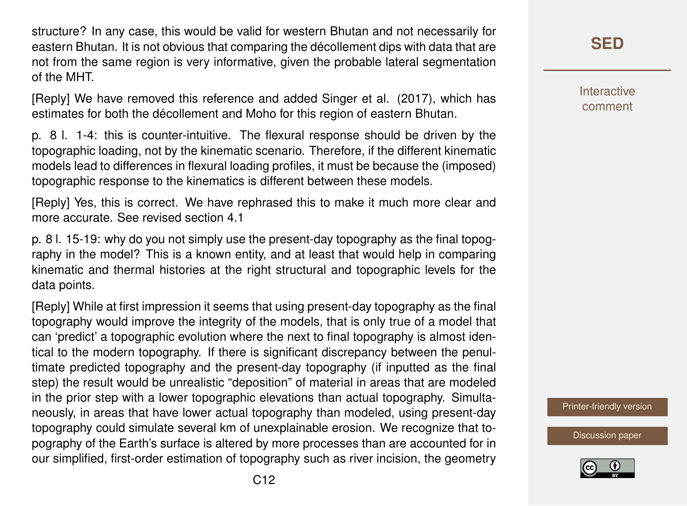structure? In any case, this would be valid for western Bhutan and not necessarily for eastern Bhutan. It is not obvious that comparing the décollement dips with data that are not from the same region is very informative, given the probable lateral segmentation of the MHT.

[Reply] We have removed this reference and added Singer et al. (2017), which has estimates for both the décollement and Moho for this region of eastern Bhutan.

p. 8 l. 1-4: this is counter-intuitive. The flexural response should be driven by the topographic loading, not by the kinematic scenario. Therefore, if the different kinematic models lead to differences in flexural loading profiles, it must be because the (imposed) topographic response to the kinematics is different between these models.

[Reply] Yes, this is correct. We have rephrased this to make it much more clear and more accurate. See revised section 4.1

p. 8 l. 15-19: why do you not simply use the present-day topography as the final topography in the model? This is a known entity, and at least that would help in comparing kinematic and thermal histories at the right structural and topographic levels for the data points.

[Reply] While at first impression it seems that using present-day topography as the final topography would improve the integrity of the models, that is only true of a model that can 'predict' a topographic evolution where the next to final topography is almost identical to the modern topography. If there is significant discrepancy between the penultimate predicted topography and the present-day topography (if inputted as the final step) the result would be unrealistic "deposition" of material in areas that are modeled in the prior step with a lower topographic elevations than actual topography. Simultaneously, in areas that have lower actual topography than modeled, using present-day topography could simulate several km of unexplainable erosion. We recognize that topography of the Earth's surface is altered by more processes than are accounted for in our simplified, first-order estimation of topography such as river incision, the geometry **[SED](https://www.solid-earth-discuss.net/)**

**Interactive** comment

[Printer-friendly version](https://www.solid-earth-discuss.net/se-2017-117/se-2017-117-AC1-print.pdf)

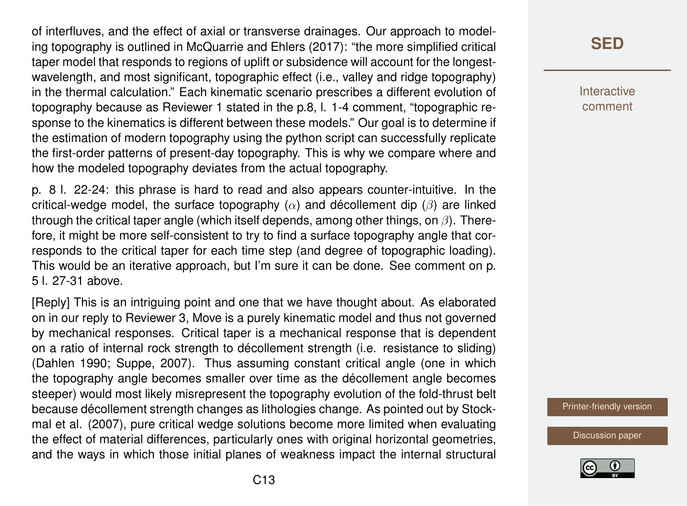of interfluves, and the effect of axial or transverse drainages. Our approach to modeling topography is outlined in McQuarrie and Ehlers (2017): "the more simplified critical taper model that responds to regions of uplift or subsidence will account for the longestwavelength, and most significant, topographic effect (i.e., valley and ridge topography) in the thermal calculation." Each kinematic scenario prescribes a different evolution of topography because as Reviewer 1 stated in the p.8, l. 1-4 comment, "topographic response to the kinematics is different between these models." Our goal is to determine if the estimation of modern topography using the python script can successfully replicate the first-order patterns of present-day topography. This is why we compare where and how the modeled topography deviates from the actual topography.

p. 8 l. 22-24: this phrase is hard to read and also appears counter-intuitive. In the critical-wedge model, the surface topography  $(\alpha)$  and décollement dip  $(\beta)$  are linked through the critical taper angle (which itself depends, among other things, on  $\beta$ ). Therefore, it might be more self-consistent to try to find a surface topography angle that corresponds to the critical taper for each time step (and degree of topographic loading). This would be an iterative approach, but I'm sure it can be done. See comment on p. 5 l. 27-31 above.

[Reply] This is an intriguing point and one that we have thought about. As elaborated on in our reply to Reviewer 3, Move is a purely kinematic model and thus not governed by mechanical responses. Critical taper is a mechanical response that is dependent on a ratio of internal rock strength to décollement strength (i.e. resistance to sliding) (Dahlen 1990; Suppe, 2007). Thus assuming constant critical angle (one in which the topography angle becomes smaller over time as the décollement angle becomes steeper) would most likely misrepresent the topography evolution of the fold-thrust belt because décollement strength changes as lithologies change. As pointed out by Stockmal et al. (2007), pure critical wedge solutions become more limited when evaluating the effect of material differences, particularly ones with original horizontal geometries, and the ways in which those initial planes of weakness impact the internal structural Interactive comment

[Printer-friendly version](https://www.solid-earth-discuss.net/se-2017-117/se-2017-117-AC1-print.pdf)

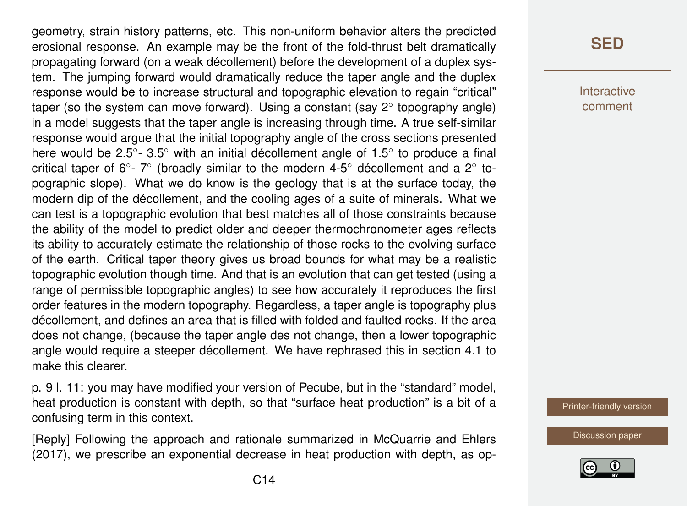geometry, strain history patterns, etc. This non-uniform behavior alters the predicted erosional response. An example may be the front of the fold-thrust belt dramatically propagating forward (on a weak décollement) before the development of a duplex system. The jumping forward would dramatically reduce the taper angle and the duplex response would be to increase structural and topographic elevation to regain "critical" taper (so the system can move forward). Using a constant (say 2° topography angle) in a model suggests that the taper angle is increasing through time. A true self-similar response would argue that the initial topography angle of the cross sections presented here would be 2.5 $^{\circ}$ - 3.5 $^{\circ}$  with an initial décollement angle of 1.5 $^{\circ}$  to produce a final critical taper of 6°-7° (broadly similar to the modern 4-5° décollement and a 2° topographic slope). What we do know is the geology that is at the surface today, the modern dip of the décollement, and the cooling ages of a suite of minerals. What we can test is a topographic evolution that best matches all of those constraints because the ability of the model to predict older and deeper thermochronometer ages reflects its ability to accurately estimate the relationship of those rocks to the evolving surface of the earth. Critical taper theory gives us broad bounds for what may be a realistic topographic evolution though time. And that is an evolution that can get tested (using a range of permissible topographic angles) to see how accurately it reproduces the first order features in the modern topography. Regardless, a taper angle is topography plus décollement, and defines an area that is filled with folded and faulted rocks. If the area does not change, (because the taper angle des not change, then a lower topographic angle would require a steeper décollement. We have rephrased this in section 4.1 to make this clearer.

p. 9 l. 11: you may have modified your version of Pecube, but in the "standard" model, heat production is constant with depth, so that "surface heat production" is a bit of a confusing term in this context.

[Reply] Following the approach and rationale summarized in McQuarrie and Ehlers (2017), we prescribe an exponential decrease in heat production with depth, as op-

### **[SED](https://www.solid-earth-discuss.net/)**

**Interactive** comment

[Printer-friendly version](https://www.solid-earth-discuss.net/se-2017-117/se-2017-117-AC1-print.pdf)

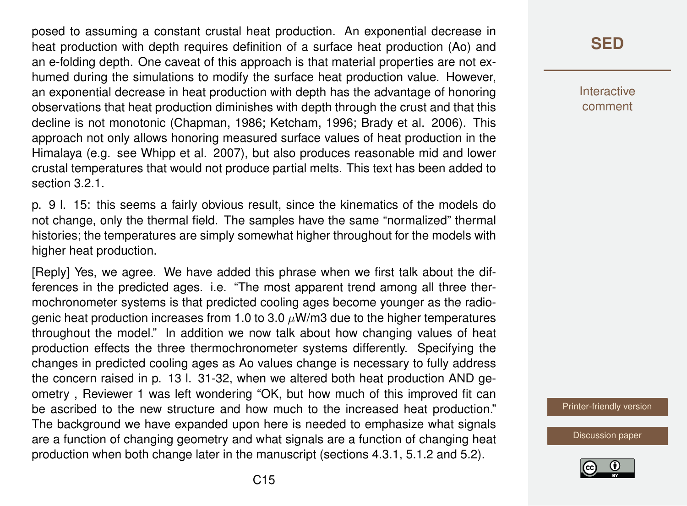posed to assuming a constant crustal heat production. An exponential decrease in heat production with depth requires definition of a surface heat production (Ao) and an e-folding depth. One caveat of this approach is that material properties are not exhumed during the simulations to modify the surface heat production value. However, an exponential decrease in heat production with depth has the advantage of honoring observations that heat production diminishes with depth through the crust and that this decline is not monotonic (Chapman, 1986; Ketcham, 1996; Brady et al. 2006). This approach not only allows honoring measured surface values of heat production in the Himalaya (e.g. see Whipp et al. 2007), but also produces reasonable mid and lower crustal temperatures that would not produce partial melts. This text has been added to section 3.2.1.

p. 9 l. 15: this seems a fairly obvious result, since the kinematics of the models do not change, only the thermal field. The samples have the same "normalized" thermal histories; the temperatures are simply somewhat higher throughout for the models with higher heat production.

[Reply] Yes, we agree. We have added this phrase when we first talk about the differences in the predicted ages. i.e. "The most apparent trend among all three thermochronometer systems is that predicted cooling ages become younger as the radiogenic heat production increases from 1.0 to 3.0  $\mu$ W/m3 due to the higher temperatures throughout the model." In addition we now talk about how changing values of heat production effects the three thermochronometer systems differently. Specifying the changes in predicted cooling ages as Ao values change is necessary to fully address the concern raised in p. 13 l. 31-32, when we altered both heat production AND geometry , Reviewer 1 was left wondering "OK, but how much of this improved fit can be ascribed to the new structure and how much to the increased heat production." The background we have expanded upon here is needed to emphasize what signals are a function of changing geometry and what signals are a function of changing heat production when both change later in the manuscript (sections 4.3.1, 5.1.2 and 5.2).

**[SED](https://www.solid-earth-discuss.net/)**

**Interactive** comment

[Printer-friendly version](https://www.solid-earth-discuss.net/se-2017-117/se-2017-117-AC1-print.pdf)

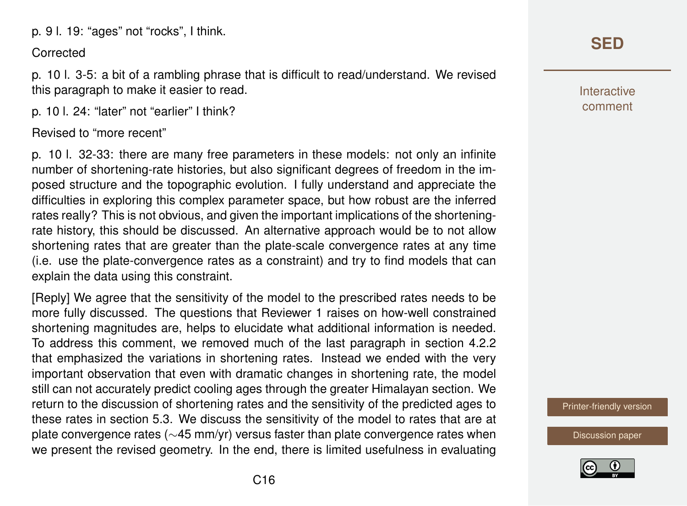p. 9 l. 19: "ages" not "rocks", I think.

#### **Corrected**

p. 10 l. 3-5: a bit of a rambling phrase that is difficult to read/understand. We revised this paragraph to make it easier to read.

p. 10 l. 24: "later" not "earlier" I think?

#### Revised to "more recent"

p. 10 l. 32-33: there are many free parameters in these models: not only an infinite number of shortening-rate histories, but also significant degrees of freedom in the imposed structure and the topographic evolution. I fully understand and appreciate the difficulties in exploring this complex parameter space, but how robust are the inferred rates really? This is not obvious, and given the important implications of the shorteningrate history, this should be discussed. An alternative approach would be to not allow shortening rates that are greater than the plate-scale convergence rates at any time (i.e. use the plate-convergence rates as a constraint) and try to find models that can explain the data using this constraint.

[Reply] We agree that the sensitivity of the model to the prescribed rates needs to be more fully discussed. The questions that Reviewer 1 raises on how-well constrained shortening magnitudes are, helps to elucidate what additional information is needed. To address this comment, we removed much of the last paragraph in section 4.2.2 that emphasized the variations in shortening rates. Instead we ended with the very important observation that even with dramatic changes in shortening rate, the model still can not accurately predict cooling ages through the greater Himalayan section. We return to the discussion of shortening rates and the sensitivity of the predicted ages to these rates in section 5.3. We discuss the sensitivity of the model to rates that are at plate convergence rates (∼45 mm/yr) versus faster than plate convergence rates when we present the revised geometry. In the end, there is limited usefulness in evaluating

# **[SED](https://www.solid-earth-discuss.net/)**

Interactive comment

[Printer-friendly version](https://www.solid-earth-discuss.net/se-2017-117/se-2017-117-AC1-print.pdf)

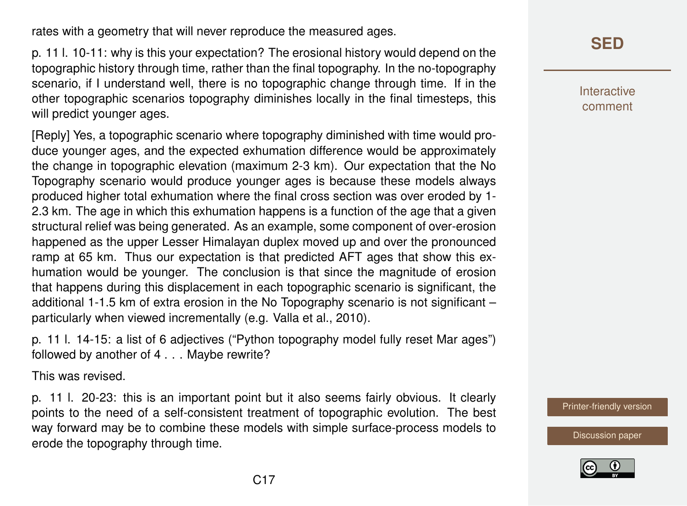rates with a geometry that will never reproduce the measured ages.

p. 11 l. 10-11: why is this your expectation? The erosional history would depend on the topographic history through time, rather than the final topography. In the no-topography scenario, if I understand well, there is no topographic change through time. If in the other topographic scenarios topography diminishes locally in the final timesteps, this will predict younger ages.

[Reply] Yes, a topographic scenario where topography diminished with time would produce younger ages, and the expected exhumation difference would be approximately the change in topographic elevation (maximum 2-3 km). Our expectation that the No Topography scenario would produce younger ages is because these models always produced higher total exhumation where the final cross section was over eroded by 1- 2.3 km. The age in which this exhumation happens is a function of the age that a given structural relief was being generated. As an example, some component of over-erosion happened as the upper Lesser Himalayan duplex moved up and over the pronounced ramp at 65 km. Thus our expectation is that predicted AFT ages that show this exhumation would be younger. The conclusion is that since the magnitude of erosion that happens during this displacement in each topographic scenario is significant, the additional 1-1.5 km of extra erosion in the No Topography scenario is not significant – particularly when viewed incrementally (e.g. Valla et al., 2010).

p. 11 l. 14-15: a list of 6 adjectives ("Python topography model fully reset Mar ages") followed by another of 4 . . . Maybe rewrite?

This was revised.

p. 11 l. 20-23: this is an important point but it also seems fairly obvious. It clearly points to the need of a self-consistent treatment of topographic evolution. The best way forward may be to combine these models with simple surface-process models to erode the topography through time.

# **[SED](https://www.solid-earth-discuss.net/)**

Interactive comment

[Printer-friendly version](https://www.solid-earth-discuss.net/se-2017-117/se-2017-117-AC1-print.pdf)

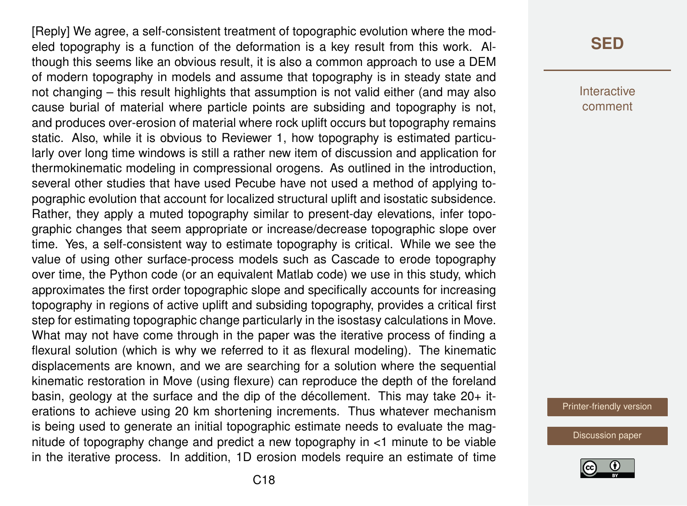[Reply] We agree, a self-consistent treatment of topographic evolution where the modeled topography is a function of the deformation is a key result from this work. Although this seems like an obvious result, it is also a common approach to use a DEM of modern topography in models and assume that topography is in steady state and not changing – this result highlights that assumption is not valid either (and may also cause burial of material where particle points are subsiding and topography is not, and produces over-erosion of material where rock uplift occurs but topography remains static. Also, while it is obvious to Reviewer 1, how topography is estimated particularly over long time windows is still a rather new item of discussion and application for thermokinematic modeling in compressional orogens. As outlined in the introduction, several other studies that have used Pecube have not used a method of applying topographic evolution that account for localized structural uplift and isostatic subsidence. Rather, they apply a muted topography similar to present-day elevations, infer topographic changes that seem appropriate or increase/decrease topographic slope over time. Yes, a self-consistent way to estimate topography is critical. While we see the value of using other surface-process models such as Cascade to erode topography over time, the Python code (or an equivalent Matlab code) we use in this study, which approximates the first order topographic slope and specifically accounts for increasing topography in regions of active uplift and subsiding topography, provides a critical first step for estimating topographic change particularly in the isostasy calculations in Move. What may not have come through in the paper was the iterative process of finding a flexural solution (which is why we referred to it as flexural modeling). The kinematic displacements are known, and we are searching for a solution where the sequential kinematic restoration in Move (using flexure) can reproduce the depth of the foreland basin, geology at the surface and the dip of the décollement. This may take  $20+$  iterations to achieve using 20 km shortening increments. Thus whatever mechanism is being used to generate an initial topographic estimate needs to evaluate the magnitude of topography change and predict a new topography in <1 minute to be viable in the iterative process. In addition, 1D erosion models require an estimate of time

### **[SED](https://www.solid-earth-discuss.net/)**

Interactive comment

[Printer-friendly version](https://www.solid-earth-discuss.net/se-2017-117/se-2017-117-AC1-print.pdf)

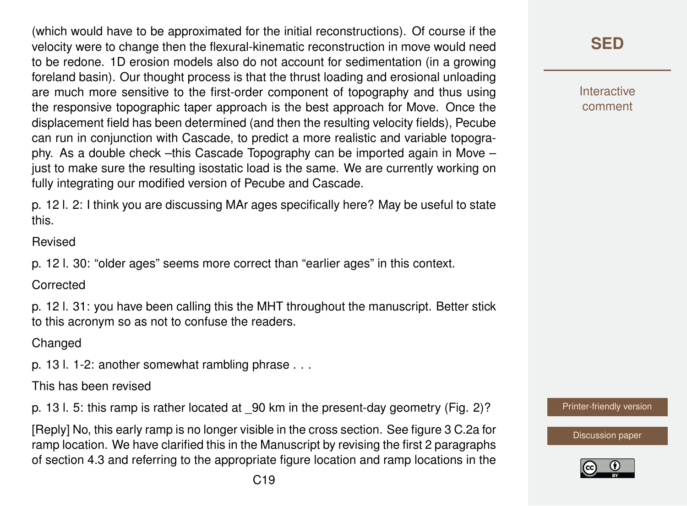(which would have to be approximated for the initial reconstructions). Of course if the velocity were to change then the flexural-kinematic reconstruction in move would need to be redone. 1D erosion models also do not account for sedimentation (in a growing foreland basin). Our thought process is that the thrust loading and erosional unloading are much more sensitive to the first-order component of topography and thus using the responsive topographic taper approach is the best approach for Move. Once the displacement field has been determined (and then the resulting velocity fields), Pecube can run in conjunction with Cascade, to predict a more realistic and variable topography. As a double check –this Cascade Topography can be imported again in Move – just to make sure the resulting isostatic load is the same. We are currently working on fully integrating our modified version of Pecube and Cascade.

p. 12 l. 2: I think you are discussing MAr ages specifically here? May be useful to state this.

Revised

p. 12 l. 30: "older ages" seems more correct than "earlier ages" in this context.

**Corrected** 

p. 12 l. 31: you have been calling this the MHT throughout the manuscript. Better stick to this acronym so as not to confuse the readers.

**Changed** 

p. 13 l. 1-2: another somewhat rambling phrase . . .

This has been revised

p. 13 l. 5: this ramp is rather located at  $\theta$ 0 km in the present-day geometry (Fig. 2)?

[Reply] No, this early ramp is no longer visible in the cross section. See figure 3 C.2a for ramp location. We have clarified this in the Manuscript by revising the first 2 paragraphs of section 4.3 and referring to the appropriate figure location and ramp locations in the [Printer-friendly version](https://www.solid-earth-discuss.net/se-2017-117/se-2017-117-AC1-print.pdf)



**[SED](https://www.solid-earth-discuss.net/)**

**Interactive** comment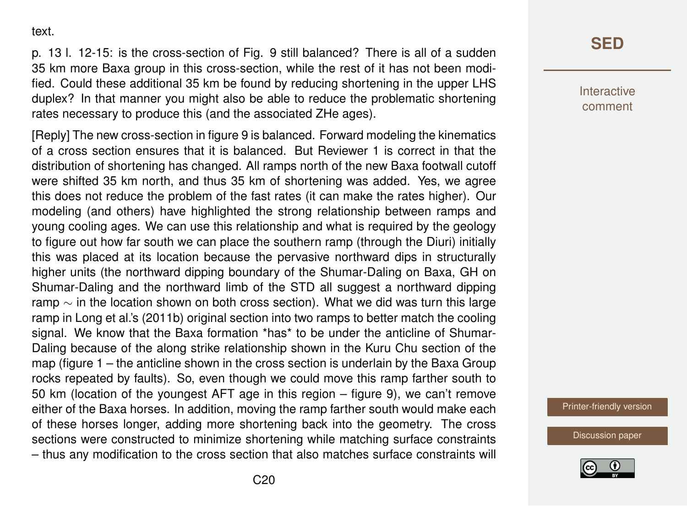text.

p. 13 l. 12-15: is the cross-section of Fig. 9 still balanced? There is all of a sudden 35 km more Baxa group in this cross-section, while the rest of it has not been modified. Could these additional 35 km be found by reducing shortening in the upper LHS duplex? In that manner you might also be able to reduce the problematic shortening rates necessary to produce this (and the associated ZHe ages).

[Reply] The new cross-section in figure 9 is balanced. Forward modeling the kinematics of a cross section ensures that it is balanced. But Reviewer 1 is correct in that the distribution of shortening has changed. All ramps north of the new Baxa footwall cutoff were shifted 35 km north, and thus 35 km of shortening was added. Yes, we agree this does not reduce the problem of the fast rates (it can make the rates higher). Our modeling (and others) have highlighted the strong relationship between ramps and young cooling ages. We can use this relationship and what is required by the geology to figure out how far south we can place the southern ramp (through the Diuri) initially this was placed at its location because the pervasive northward dips in structurally higher units (the northward dipping boundary of the Shumar-Daling on Baxa, GH on Shumar-Daling and the northward limb of the STD all suggest a northward dipping ramp  $\sim$  in the location shown on both cross section). What we did was turn this large ramp in Long et al.'s (2011b) original section into two ramps to better match the cooling signal. We know that the Baxa formation \*has\* to be under the anticline of Shumar-Daling because of the along strike relationship shown in the Kuru Chu section of the map (figure 1 – the anticline shown in the cross section is underlain by the Baxa Group rocks repeated by faults). So, even though we could move this ramp farther south to 50 km (location of the youngest AFT age in this region – figure 9), we can't remove either of the Baxa horses. In addition, moving the ramp farther south would make each of these horses longer, adding more shortening back into the geometry. The cross sections were constructed to minimize shortening while matching surface constraints – thus any modification to the cross section that also matches surface constraints will **[SED](https://www.solid-earth-discuss.net/)**

Interactive comment

[Printer-friendly version](https://www.solid-earth-discuss.net/se-2017-117/se-2017-117-AC1-print.pdf)

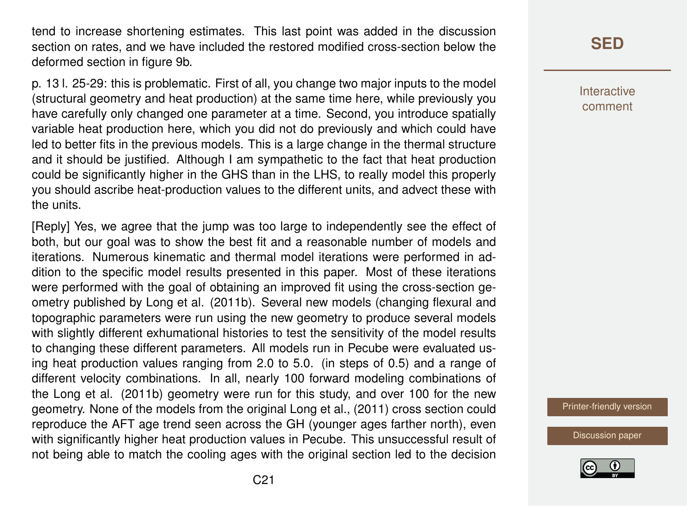tend to increase shortening estimates. This last point was added in the discussion section on rates, and we have included the restored modified cross-section below the deformed section in figure 9b.

p. 13 l. 25-29: this is problematic. First of all, you change two major inputs to the model (structural geometry and heat production) at the same time here, while previously you have carefully only changed one parameter at a time. Second, you introduce spatially variable heat production here, which you did not do previously and which could have led to better fits in the previous models. This is a large change in the thermal structure and it should be justified. Although I am sympathetic to the fact that heat production could be significantly higher in the GHS than in the LHS, to really model this properly you should ascribe heat-production values to the different units, and advect these with the units.

[Reply] Yes, we agree that the jump was too large to independently see the effect of both, but our goal was to show the best fit and a reasonable number of models and iterations. Numerous kinematic and thermal model iterations were performed in addition to the specific model results presented in this paper. Most of these iterations were performed with the goal of obtaining an improved fit using the cross-section geometry published by Long et al. (2011b). Several new models (changing flexural and topographic parameters were run using the new geometry to produce several models with slightly different exhumational histories to test the sensitivity of the model results to changing these different parameters. All models run in Pecube were evaluated using heat production values ranging from 2.0 to 5.0. (in steps of 0.5) and a range of different velocity combinations. In all, nearly 100 forward modeling combinations of the Long et al. (2011b) geometry were run for this study, and over 100 for the new geometry. None of the models from the original Long et al., (2011) cross section could reproduce the AFT age trend seen across the GH (younger ages farther north), even with significantly higher heat production values in Pecube. This unsuccessful result of not being able to match the cooling ages with the original section led to the decision

## **[SED](https://www.solid-earth-discuss.net/)**

Interactive comment

[Printer-friendly version](https://www.solid-earth-discuss.net/se-2017-117/se-2017-117-AC1-print.pdf)

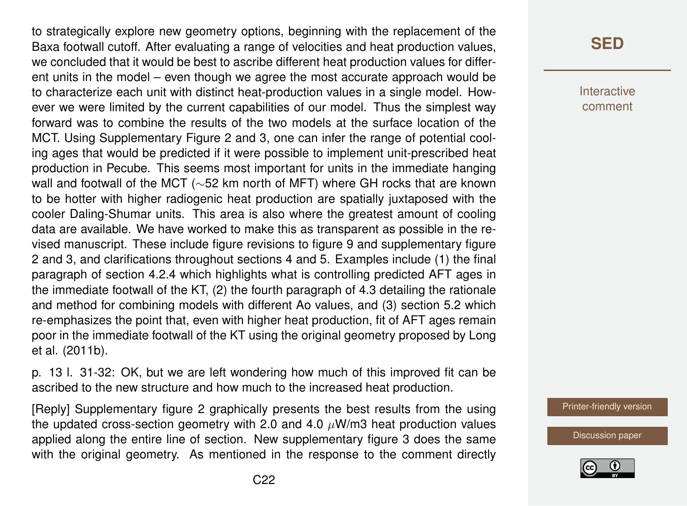to strategically explore new geometry options, beginning with the replacement of the Baxa footwall cutoff. After evaluating a range of velocities and heat production values, we concluded that it would be best to ascribe different heat production values for different units in the model – even though we agree the most accurate approach would be to characterize each unit with distinct heat-production values in a single model. However we were limited by the current capabilities of our model. Thus the simplest way forward was to combine the results of the two models at the surface location of the MCT. Using Supplementary Figure 2 and 3, one can infer the range of potential cooling ages that would be predicted if it were possible to implement unit-prescribed heat production in Pecube. This seems most important for units in the immediate hanging wall and footwall of the MCT (∼52 km north of MFT) where GH rocks that are known to be hotter with higher radiogenic heat production are spatially juxtaposed with the cooler Daling-Shumar units. This area is also where the greatest amount of cooling data are available. We have worked to make this as transparent as possible in the revised manuscript. These include figure revisions to figure 9 and supplementary figure 2 and 3, and clarifications throughout sections 4 and 5. Examples include (1) the final paragraph of section 4.2.4 which highlights what is controlling predicted AFT ages in the immediate footwall of the KT, (2) the fourth paragraph of 4.3 detailing the rationale and method for combining models with different Ao values, and (3) section 5.2 which re-emphasizes the point that, even with higher heat production, fit of AFT ages remain poor in the immediate footwall of the KT using the original geometry proposed by Long et al. (2011b).

p. 13 l. 31-32: OK, but we are left wondering how much of this improved fit can be ascribed to the new structure and how much to the increased heat production.

[Reply] Supplementary figure 2 graphically presents the best results from the using the updated cross-section geometry with 2.0 and 4.0  $\mu$ W/m3 heat production values applied along the entire line of section. New supplementary figure 3 does the same with the original geometry. As mentioned in the response to the comment directly

### **[SED](https://www.solid-earth-discuss.net/)**

Interactive comment

[Printer-friendly version](https://www.solid-earth-discuss.net/se-2017-117/se-2017-117-AC1-print.pdf)

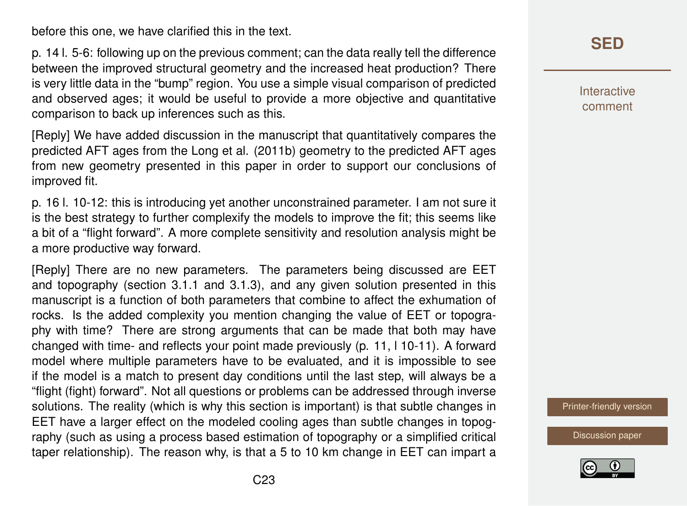before this one, we have clarified this in the text.

p. 14 l. 5-6: following up on the previous comment; can the data really tell the difference between the improved structural geometry and the increased heat production? There is very little data in the "bump" region. You use a simple visual comparison of predicted and observed ages; it would be useful to provide a more objective and quantitative comparison to back up inferences such as this.

[Reply] We have added discussion in the manuscript that quantitatively compares the predicted AFT ages from the Long et al. (2011b) geometry to the predicted AFT ages from new geometry presented in this paper in order to support our conclusions of improved fit.

p. 16 l. 10-12: this is introducing yet another unconstrained parameter. I am not sure it is the best strategy to further complexify the models to improve the fit; this seems like a bit of a "flight forward". A more complete sensitivity and resolution analysis might be a more productive way forward.

[Reply] There are no new parameters. The parameters being discussed are EET and topography (section 3.1.1 and 3.1.3), and any given solution presented in this manuscript is a function of both parameters that combine to affect the exhumation of rocks. Is the added complexity you mention changing the value of EET or topography with time? There are strong arguments that can be made that both may have changed with time- and reflects your point made previously (p. 11, l 10-11). A forward model where multiple parameters have to be evaluated, and it is impossible to see if the model is a match to present day conditions until the last step, will always be a "flight (fight) forward". Not all questions or problems can be addressed through inverse solutions. The reality (which is why this section is important) is that subtle changes in EET have a larger effect on the modeled cooling ages than subtle changes in topography (such as using a process based estimation of topography or a simplified critical taper relationship). The reason why, is that a 5 to 10 km change in EET can impart a

### **[SED](https://www.solid-earth-discuss.net/)**

Interactive comment

[Printer-friendly version](https://www.solid-earth-discuss.net/se-2017-117/se-2017-117-AC1-print.pdf)

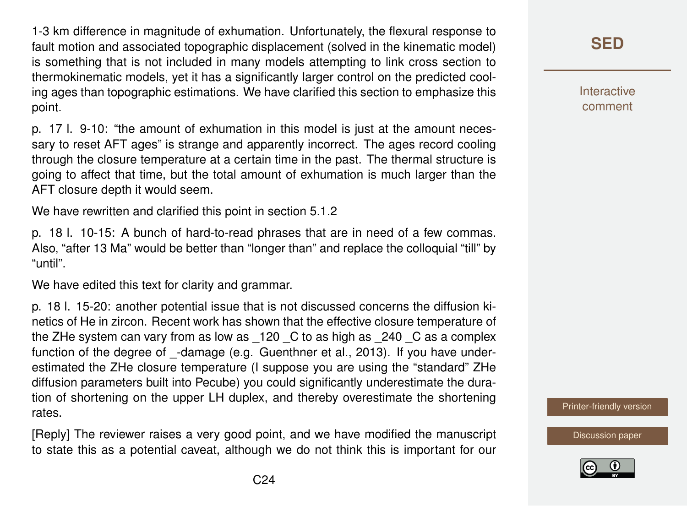1-3 km difference in magnitude of exhumation. Unfortunately, the flexural response to fault motion and associated topographic displacement (solved in the kinematic model) is something that is not included in many models attempting to link cross section to thermokinematic models, yet it has a significantly larger control on the predicted cooling ages than topographic estimations. We have clarified this section to emphasize this point.

p. 17 l. 9-10: "the amount of exhumation in this model is just at the amount necessary to reset AFT ages" is strange and apparently incorrect. The ages record cooling through the closure temperature at a certain time in the past. The thermal structure is going to affect that time, but the total amount of exhumation is much larger than the AFT closure depth it would seem.

We have rewritten and clarified this point in section 5.1.2

p. 18 l. 10-15: A bunch of hard-to-read phrases that are in need of a few commas. Also, "after 13 Ma" would be better than "longer than" and replace the colloquial "till" by "until".

We have edited this text for clarity and grammar.

p. 18 l. 15-20: another potential issue that is not discussed concerns the diffusion kinetics of He in zircon. Recent work has shown that the effective closure temperature of the ZHe system can vary from as low as \_120 \_C to as high as \_240 \_C as a complex function of the degree of -damage (e.g. Guenthner et al., 2013). If you have underestimated the ZHe closure temperature (I suppose you are using the "standard" ZHe diffusion parameters built into Pecube) you could significantly underestimate the duration of shortening on the upper LH duplex, and thereby overestimate the shortening rates.

[Reply] The reviewer raises a very good point, and we have modified the manuscript to state this as a potential caveat, although we do not think this is important for our

**[SED](https://www.solid-earth-discuss.net/)**

**Interactive** comment

[Printer-friendly version](https://www.solid-earth-discuss.net/se-2017-117/se-2017-117-AC1-print.pdf)

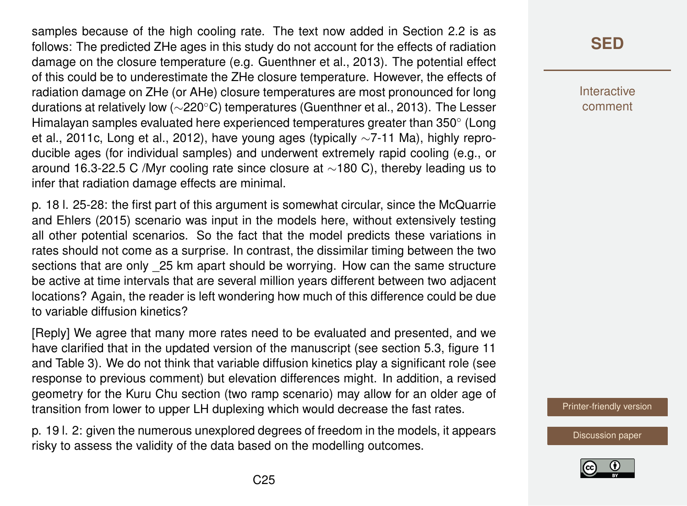samples because of the high cooling rate. The text now added in Section 2.2 is as follows: The predicted ZHe ages in this study do not account for the effects of radiation damage on the closure temperature (e.g. Guenthner et al., 2013). The potential effect of this could be to underestimate the ZHe closure temperature. However, the effects of radiation damage on ZHe (or AHe) closure temperatures are most pronounced for long durations at relatively low (∼220◦C) temperatures (Guenthner et al., 2013). The Lesser Himalayan samples evaluated here experienced temperatures greater than 350 $^{\circ}$  (Long et al., 2011c, Long et al., 2012), have young ages (typically ∼7-11 Ma), highly reproducible ages (for individual samples) and underwent extremely rapid cooling (e.g., or around 16.3-22.5 C /Myr cooling rate since closure at ∼180 C), thereby leading us to infer that radiation damage effects are minimal.

p. 18 l. 25-28: the first part of this argument is somewhat circular, since the McQuarrie and Ehlers (2015) scenario was input in the models here, without extensively testing all other potential scenarios. So the fact that the model predicts these variations in rates should not come as a surprise. In contrast, the dissimilar timing between the two sections that are only 25 km apart should be worrying. How can the same structure be active at time intervals that are several million years different between two adjacent locations? Again, the reader is left wondering how much of this difference could be due to variable diffusion kinetics?

[Reply] We agree that many more rates need to be evaluated and presented, and we have clarified that in the updated version of the manuscript (see section 5.3, figure 11 and Table 3). We do not think that variable diffusion kinetics play a significant role (see response to previous comment) but elevation differences might. In addition, a revised geometry for the Kuru Chu section (two ramp scenario) may allow for an older age of transition from lower to upper LH duplexing which would decrease the fast rates.

p. 19 l. 2: given the numerous unexplored degrees of freedom in the models, it appears risky to assess the validity of the data based on the modelling outcomes.

## **[SED](https://www.solid-earth-discuss.net/)**

**Interactive** comment

[Printer-friendly version](https://www.solid-earth-discuss.net/se-2017-117/se-2017-117-AC1-print.pdf)

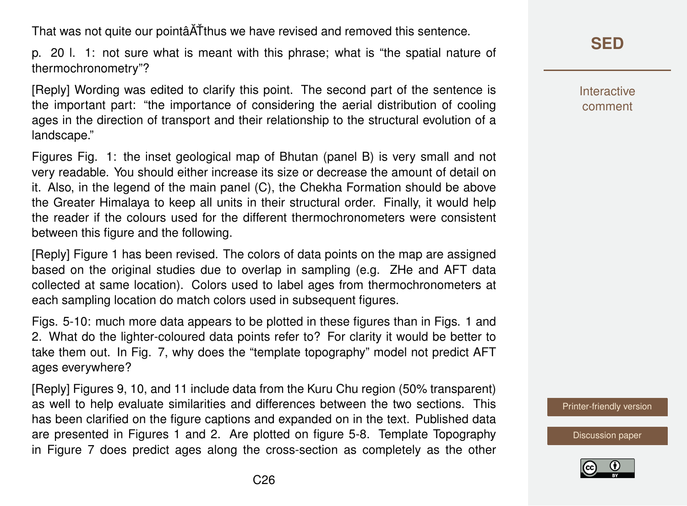That was not quite our pointâATthus we have revised and removed this sentence.

p. 20 l. 1: not sure what is meant with this phrase; what is "the spatial nature of thermochronometry"?

[Reply] Wording was edited to clarify this point. The second part of the sentence is the important part: "the importance of considering the aerial distribution of cooling ages in the direction of transport and their relationship to the structural evolution of a landscape."

Figures Fig. 1: the inset geological map of Bhutan (panel B) is very small and not very readable. You should either increase its size or decrease the amount of detail on it. Also, in the legend of the main panel (C), the Chekha Formation should be above the Greater Himalaya to keep all units in their structural order. Finally, it would help the reader if the colours used for the different thermochronometers were consistent between this figure and the following.

[Reply] Figure 1 has been revised. The colors of data points on the map are assigned based on the original studies due to overlap in sampling (e.g. ZHe and AFT data collected at same location). Colors used to label ages from thermochronometers at each sampling location do match colors used in subsequent figures.

Figs. 5-10: much more data appears to be plotted in these figures than in Figs. 1 and 2. What do the lighter-coloured data points refer to? For clarity it would be better to take them out. In Fig. 7, why does the "template topography" model not predict AFT ages everywhere?

[Reply] Figures 9, 10, and 11 include data from the Kuru Chu region (50% transparent) as well to help evaluate similarities and differences between the two sections. This has been clarified on the figure captions and expanded on in the text. Published data are presented in Figures 1 and 2. Are plotted on figure 5-8. Template Topography in Figure 7 does predict ages along the cross-section as completely as the other Interactive comment

[Printer-friendly version](https://www.solid-earth-discuss.net/se-2017-117/se-2017-117-AC1-print.pdf)